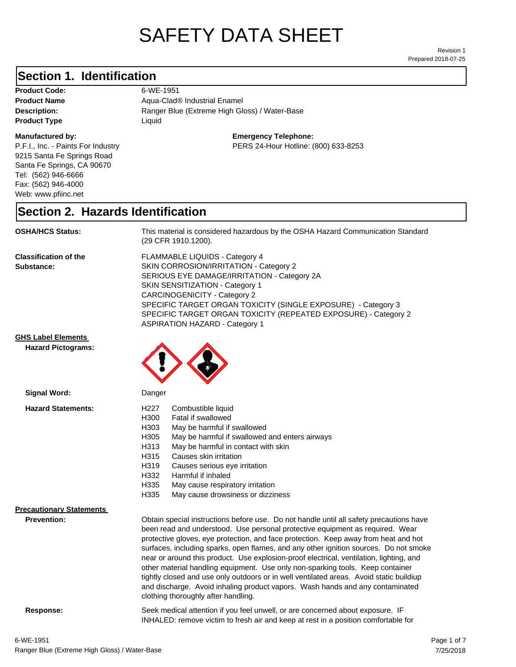# SAFETY DATA SHEET

Prepared 2018-07-25 Revision 1

### **Section 1. Identification**

Product Code: 6-WE-1951 **Product Type Liquid Liquid** 

### **Manufactured by:**

P.F.I., Inc. - Paints For Industry 9215 Santa Fe Springs Road Santa Fe Springs, CA 90670 Tel: (562) 946-6666 Fax: (562) 946-4000 Web: www.pfiinc.net

Description: Ranger Blue (Extreme High Gloss) / Water-Base **Product Name** Aqua-Clad<sup>®</sup> Industrial Enamel

### **Emergency Telephone:**

PERS 24-Hour Hotline: (800) 633-8253

### **Section 2. Hazards Identification**

**OSHA/HCS Status:** This material is considered hazardous by the OSHA Hazard Communication Standard (29 CFR 1910.1200).

**Classification of the Substance:**

FLAMMABLE LIQUIDS - Category 4 SKIN CORROSION/IRRITATION - Category 2 SERIOUS EYE DAMAGE/IRRITATION - Category 2A SKIN SENSITIZATION - Category 1 CARCINOGENICITY - Category 2 SPECIFIC TARGET ORGAN TOXICITY (SINGLE EXPOSURE) - Category 3 SPECIFIC TARGET ORGAN TOXICITY (REPEATED EXPOSURE) - Category 2 ASPIRATION HAZARD - Category 1

INHALED: remove victim to fresh air and keep at rest in a position comfortable for

**GHS Label Elements**

**Hazard Pictograms:**



| Signal Word:                                          | Danger                                                                                                                                                                                                                                                                                                                                                                                                                                                                                                                                                                                                                                                                                                                                                   |
|-------------------------------------------------------|----------------------------------------------------------------------------------------------------------------------------------------------------------------------------------------------------------------------------------------------------------------------------------------------------------------------------------------------------------------------------------------------------------------------------------------------------------------------------------------------------------------------------------------------------------------------------------------------------------------------------------------------------------------------------------------------------------------------------------------------------------|
| <b>Hazard Statements:</b>                             | H227<br>Combustible liquid<br>H300<br>Fatal if swallowed<br>H303<br>May be harmful if swallowed<br>H305<br>May be harmful if swallowed and enters airways<br>May be harmful in contact with skin<br>H313<br>H315<br>Causes skin irritation<br>H319<br>Causes serious eye irritation<br>H332<br>Harmful if inhaled<br>H335<br>May cause respiratory irritation<br>H335<br>May cause drowsiness or dizziness                                                                                                                                                                                                                                                                                                                                               |
| <b>Precautionary Statements</b><br><b>Prevention:</b> | Obtain special instructions before use. Do not handle until all safety precautions have<br>been read and understood. Use personal protective equipment as required. Wear<br>protective gloves, eye protection, and face protection. Keep away from heat and hot<br>surfaces, including sparks, open flames, and any other ignition sources. Do not smoke<br>near or around this product. Use explosion-proof electrical, ventilation, lighting, and<br>other material handling equipment. Use only non-sparking tools. Keep container<br>tightly closed and use only outdoors or in well ventilated areas. Avoid static buildiup<br>and discharge. Avoid inhaling product vapors. Wash hands and any contaminated<br>clothing thoroughly after handling. |
| Response:                                             | Seek medical attention if you feel unwell, or are concerned about exposure. IF                                                                                                                                                                                                                                                                                                                                                                                                                                                                                                                                                                                                                                                                           |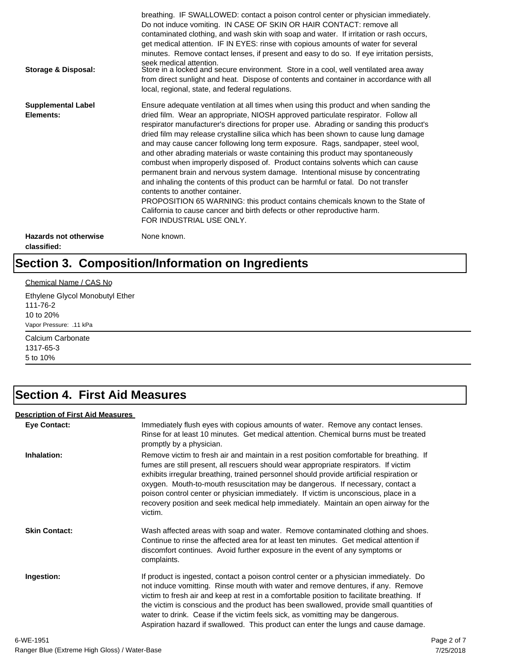| Storage & Disposal:                         | breathing. IF SWALLOWED: contact a poison control center or physician immediately.<br>Do not induce vomiting. IN CASE OF SKIN OR HAIR CONTACT: remove all<br>contaminated clothing, and wash skin with soap and water. If irritation or rash occurs,<br>get medical attention. IF IN EYES: rinse with copious amounts of water for several<br>minutes. Remove contact lenses, if present and easy to do so. If eye irritation persists,<br>seek medical attention.<br>Store in a locked and secure environment. Store in a cool, well ventilated area away<br>from direct sunlight and heat. Dispose of contents and container in accordance with all<br>local, regional, state, and federal regulations.                                                                                                                                                                                                                                                                                                                |
|---------------------------------------------|--------------------------------------------------------------------------------------------------------------------------------------------------------------------------------------------------------------------------------------------------------------------------------------------------------------------------------------------------------------------------------------------------------------------------------------------------------------------------------------------------------------------------------------------------------------------------------------------------------------------------------------------------------------------------------------------------------------------------------------------------------------------------------------------------------------------------------------------------------------------------------------------------------------------------------------------------------------------------------------------------------------------------|
| <b>Supplemental Label</b><br>Elements:      | Ensure adequate ventilation at all times when using this product and when sanding the<br>dried film. Wear an appropriate, NIOSH approved particulate respirator. Follow all<br>respirator manufacturer's directions for proper use. Abrading or sanding this product's<br>dried film may release crystalline silica which has been shown to cause lung damage<br>and may cause cancer following long term exposure. Rags, sandpaper, steel wool,<br>and other abrading materials or waste containing this product may spontaneously<br>combust when improperly disposed of. Product contains solvents which can cause<br>permanent brain and nervous system damage. Intentional misuse by concentrating<br>and inhaling the contents of this product can be harmful or fatal. Do not transfer<br>contents to another container.<br>PROPOSITION 65 WARNING: this product contains chemicals known to the State of<br>California to cause cancer and birth defects or other reproductive harm.<br>FOR INDUSTRIAL USE ONLY. |
| <b>Hazards not otherwise</b><br>classified: | None known.                                                                                                                                                                                                                                                                                                                                                                                                                                                                                                                                                                                                                                                                                                                                                                                                                                                                                                                                                                                                              |

# **Section 3. Composition/Information on Ingredients**

### Chemical Name / CAS No

Ethylene Glycol Monobutyl Ether 111-76-2 10 to 20% Vapor Pressure: .11 kPa

Calcium Carbonate 1317-65-3 5 to 10%

## **Section 4. First Aid Measures**

### **Description of First Aid Measures**

| <b>Eye Contact:</b>  | Immediately flush eyes with copious amounts of water. Remove any contact lenses.<br>Rinse for at least 10 minutes. Get medical attention. Chemical burns must be treated<br>promptly by a physician.                                                                                                                                                                                                                                                                                                                                                      |
|----------------------|-----------------------------------------------------------------------------------------------------------------------------------------------------------------------------------------------------------------------------------------------------------------------------------------------------------------------------------------------------------------------------------------------------------------------------------------------------------------------------------------------------------------------------------------------------------|
| Inhalation:          | Remove victim to fresh air and maintain in a rest position comfortable for breathing. If<br>fumes are still present, all rescuers should wear appropriate respirators. If victim<br>exhibits irregular breathing, trained personnel should provide artificial respiration or<br>oxygen. Mouth-to-mouth resuscitation may be dangerous. If necessary, contact a<br>poison control center or physician immediately. If victim is unconscious, place in a<br>recovery position and seek medical help immediately. Maintain an open airway for the<br>victim. |
| <b>Skin Contact:</b> | Wash affected areas with soap and water. Remove contaminated clothing and shoes.<br>Continue to rinse the affected area for at least ten minutes. Get medical attention if<br>discomfort continues. Avoid further exposure in the event of any symptoms or<br>complaints.                                                                                                                                                                                                                                                                                 |
| Ingestion:           | If product is ingested, contact a poison control center or a physician immediately. Do<br>not induce vomitting. Rinse mouth with water and remove dentures, if any. Remove<br>victim to fresh air and keep at rest in a comfortable position to facilitate breathing. If<br>the victim is conscious and the product has been swallowed, provide small quantities of<br>water to drink. Cease if the victim feels sick, as vomitting may be dangerous.<br>Aspiration hazard if swallowed. This product can enter the lungs and cause damage.               |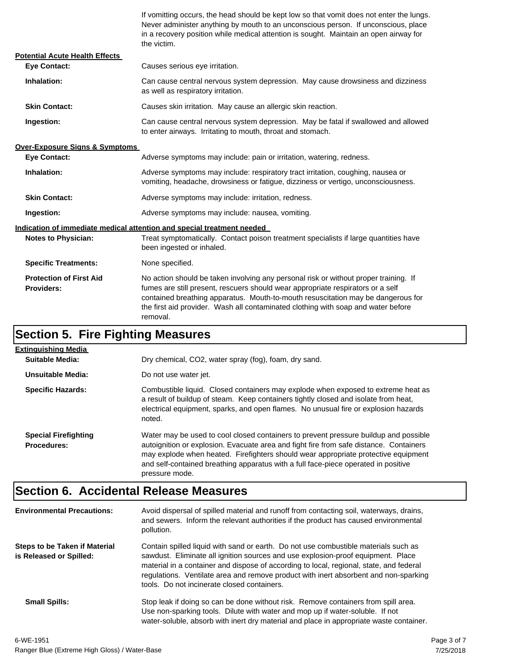If vomitting occurs, the head should be kept low so that vomit does not enter the lungs. Never administer anything by mouth to an unconscious person. If unconscious, place in a recovery position while medical attention is sought. Maintain an open airway for the victim.

| <b>Potential Acute Health Effects</b>               |                                                                                                                                                                                                                                                                                                                                                              |  |  |
|-----------------------------------------------------|--------------------------------------------------------------------------------------------------------------------------------------------------------------------------------------------------------------------------------------------------------------------------------------------------------------------------------------------------------------|--|--|
| <b>Eve Contact:</b>                                 | Causes serious eye irritation.                                                                                                                                                                                                                                                                                                                               |  |  |
| Inhalation:                                         | Can cause central nervous system depression. May cause drowsiness and dizziness<br>as well as respiratory irritation.                                                                                                                                                                                                                                        |  |  |
| <b>Skin Contact:</b>                                | Causes skin irritation. May cause an allergic skin reaction.                                                                                                                                                                                                                                                                                                 |  |  |
| Ingestion:                                          | Can cause central nervous system depression. May be fatal if swallowed and allowed<br>to enter airways. Irritating to mouth, throat and stomach.                                                                                                                                                                                                             |  |  |
| <b>Over-Exposure Signs &amp; Symptoms</b>           |                                                                                                                                                                                                                                                                                                                                                              |  |  |
| <b>Eve Contact:</b>                                 | Adverse symptoms may include: pain or irritation, watering, redness.                                                                                                                                                                                                                                                                                         |  |  |
| Inhalation:                                         | Adverse symptoms may include: respiratory tract irritation, coughing, nausea or<br>vomiting, headache, drowsiness or fatique, dizziness or vertigo, unconsciousness.                                                                                                                                                                                         |  |  |
| <b>Skin Contact:</b>                                | Adverse symptoms may include: irritation, redness.                                                                                                                                                                                                                                                                                                           |  |  |
| Ingestion:                                          | Adverse symptoms may include: nausea, vomiting.                                                                                                                                                                                                                                                                                                              |  |  |
|                                                     | Indication of immediate medical attention and special treatment needed                                                                                                                                                                                                                                                                                       |  |  |
| <b>Notes to Physician:</b>                          | Treat symptomatically. Contact poison treatment specialists if large quantities have<br>been ingested or inhaled.                                                                                                                                                                                                                                            |  |  |
| <b>Specific Treatments:</b>                         | None specified.                                                                                                                                                                                                                                                                                                                                              |  |  |
| <b>Protection of First Aid</b><br><b>Providers:</b> | No action should be taken involving any personal risk or without proper training. If<br>fumes are still present, rescuers should wear appropriate respirators or a self<br>contained breathing apparatus. Mouth-to-mouth resuscitation may be dangerous for<br>the first aid provider. Wash all contaminated clothing with soap and water before<br>removal. |  |  |

# **Section 5. Fire Fighting Measures**

| <b>Extinguishing Media</b>                        |                                                                                                                                                                                                                                                                                                                                                                              |
|---------------------------------------------------|------------------------------------------------------------------------------------------------------------------------------------------------------------------------------------------------------------------------------------------------------------------------------------------------------------------------------------------------------------------------------|
| Suitable Media:                                   | Dry chemical, CO2, water spray (fog), foam, dry sand.                                                                                                                                                                                                                                                                                                                        |
| Unsuitable Media:                                 | Do not use water jet.                                                                                                                                                                                                                                                                                                                                                        |
| <b>Specific Hazards:</b>                          | Combustible liquid. Closed containers may explode when exposed to extreme heat as<br>a result of buildup of steam. Keep containers tightly closed and isolate from heat,<br>electrical equipment, sparks, and open flames. No unusual fire or explosion hazards<br>noted.                                                                                                    |
| <b>Special Firefighting</b><br><b>Procedures:</b> | Water may be used to cool closed containers to prevent pressure buildup and possible<br>autoignition or explosion. Evacuate area and fight fire from safe distance. Containers<br>may explode when heated. Firefighters should wear appropriate protective equipment<br>and self-contained breathing apparatus with a full face-piece operated in positive<br>pressure mode. |

### **Section 6. Accidental Release Measures**

| <b>Environmental Precautions:</b>                        | Avoid dispersal of spilled material and runoff from contacting soil, waterways, drains,<br>and sewers. Inform the relevant authorities if the product has caused environmental<br>pollution.                                                                                                                                                                                                              |
|----------------------------------------------------------|-----------------------------------------------------------------------------------------------------------------------------------------------------------------------------------------------------------------------------------------------------------------------------------------------------------------------------------------------------------------------------------------------------------|
| Steps to be Taken if Material<br>is Released or Spilled: | Contain spilled liquid with sand or earth. Do not use combustible materials such as<br>sawdust. Eliminate all ignition sources and use explosion-proof equipment. Place<br>material in a container and dispose of according to local, regional, state, and federal<br>regulations. Ventilate area and remove product with inert absorbent and non-sparking<br>tools. Do not incinerate closed containers. |
| <b>Small Spills:</b>                                     | Stop leak if doing so can be done without risk. Remove containers from spill area.<br>Use non-sparking tools. Dilute with water and mop up if water-soluble. If not<br>water-soluble, absorb with inert dry material and place in appropriate waste container.                                                                                                                                            |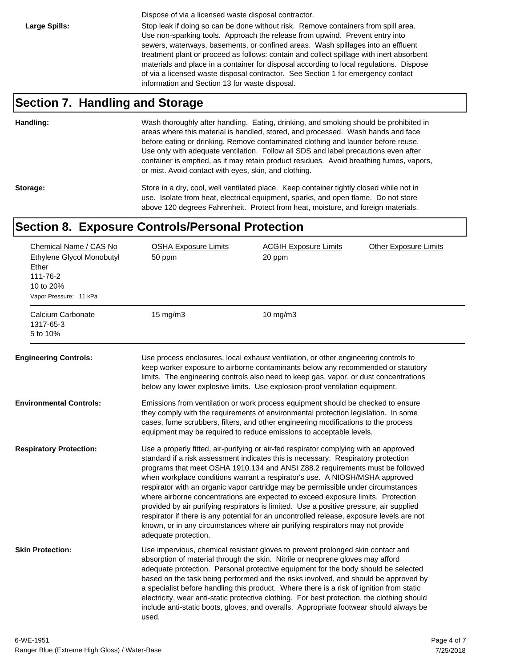Dispose of via a licensed waste disposal contractor.

Large Spills: Stop leak if doing so can be done without risk. Remove containers from spill area. Use non-sparking tools. Approach the release from upwind. Prevent entry into sewers, waterways, basements, or confined areas. Wash spillages into an effluent treatment plant or proceed as follows: contain and collect spillage with inert absorbent materials and place in a container for disposal according to local regulations. Dispose of via a licensed waste disposal contractor. See Section 1 for emergency contact information and Section 13 for waste disposal.

### **Section 7. Handling and Storage**

**Handling:** Wash thoroughly after handling. Eating, drinking, and smoking should be prohibited in areas where this material is handled, stored, and processed. Wash hands and face before eating or drinking. Remove contaminated clothing and launder before reuse. Use only with adequate ventilation. Follow all SDS and label precautions even after container is emptied, as it may retain product residues. Avoid breathing fumes, vapors, or mist. Avoid contact with eyes, skin, and clothing.

Storage: Store in a dry, cool, well ventilated place. Keep container tightly closed while not in use. Isolate from heat, electrical equipment, sparks, and open flame. Do not store above 120 degrees Fahrenheit. Protect from heat, moisture, and foreign materials.

### **Section 8. Exposure Controls/Personal Protection**

| Chemical Name / CAS No<br>Ethylene Glycol Monobutyl<br>Ether<br>111-76-2<br>10 to 20%<br>Vapor Pressure: .11 kPa | <b>OSHA Exposure Limits</b><br>50 ppm | <b>ACGIH Exposure Limits</b><br>20 ppm                                                                                                                                                                                                                                                                                                                                                                                                                                                                                                                                                                                                                                                                                                                                                        | <b>Other Exposure Limits</b> |
|------------------------------------------------------------------------------------------------------------------|---------------------------------------|-----------------------------------------------------------------------------------------------------------------------------------------------------------------------------------------------------------------------------------------------------------------------------------------------------------------------------------------------------------------------------------------------------------------------------------------------------------------------------------------------------------------------------------------------------------------------------------------------------------------------------------------------------------------------------------------------------------------------------------------------------------------------------------------------|------------------------------|
| Calcium Carbonate<br>1317-65-3<br>5 to 10%                                                                       | 15 mg/m3                              | 10 $mg/m3$                                                                                                                                                                                                                                                                                                                                                                                                                                                                                                                                                                                                                                                                                                                                                                                    |                              |
| <b>Engineering Controls:</b>                                                                                     |                                       | Use process enclosures, local exhaust ventilation, or other engineering controls to<br>keep worker exposure to airborne contaminants below any recommended or statutory<br>limits. The engineering controls also need to keep gas, vapor, or dust concentrations<br>below any lower explosive limits. Use explosion-proof ventilation equipment.                                                                                                                                                                                                                                                                                                                                                                                                                                              |                              |
| <b>Environmental Controls:</b>                                                                                   |                                       | Emissions from ventilation or work process equipment should be checked to ensure<br>they comply with the requirements of environmental protection legislation. In some<br>cases, fume scrubbers, filters, and other engineering modifications to the process<br>equipment may be required to reduce emissions to acceptable levels.                                                                                                                                                                                                                                                                                                                                                                                                                                                           |                              |
| <b>Respiratory Protection:</b>                                                                                   | adequate protection.                  | Use a properly fitted, air-purifying or air-fed respirator complying with an approved<br>standard if a risk assessment indicates this is necessary. Respiratory protection<br>programs that meet OSHA 1910.134 and ANSI Z88.2 requirements must be followed<br>when workplace conditions warrant a respirator's use. A NIOSH/MSHA approved<br>respirator with an organic vapor cartridge may be permissible under circumstances<br>where airborne concentrations are expected to exceed exposure limits. Protection<br>provided by air purifying respirators is limited. Use a positive pressure, air supplied<br>respirator if there is any potential for an uncontrolled release, exposure levels are not<br>known, or in any circumstances where air purifying respirators may not provide |                              |
| <b>Skin Protection:</b>                                                                                          | used.                                 | Use impervious, chemical resistant gloves to prevent prolonged skin contact and<br>absorption of material through the skin. Nitrile or neoprene gloves may afford<br>adequate protection. Personal protective equipment for the body should be selected<br>based on the task being performed and the risks involved, and should be approved by<br>a specialist before handling this product. Where there is a risk of ignition from static<br>electricity, wear anti-static protective clothing. For best protection, the clothing should<br>include anti-static boots, gloves, and overalls. Appropriate footwear should always be                                                                                                                                                           |                              |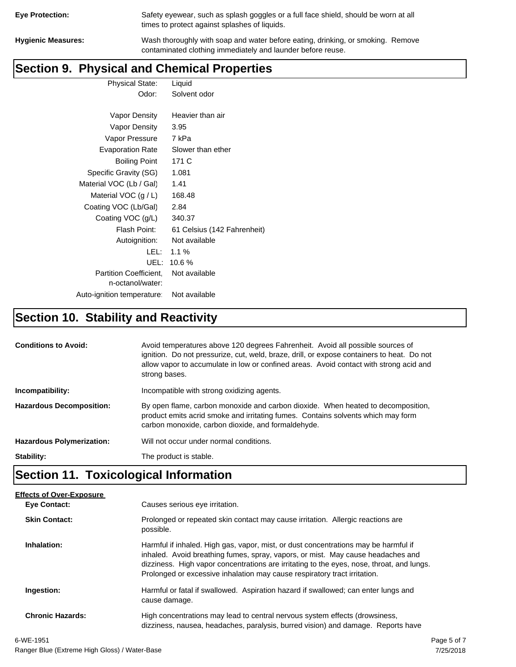| <b>Eye Protection:</b> |  |
|------------------------|--|
|                        |  |

Safety eyewear, such as splash goggles or a full face shield, should be worn at all times to protect against splashes of liquids.

**Hygienic Measures:** Wash thoroughly with soap and water before eating, drinking, or smoking. Remove contaminated clothing immediately and launder before reuse.

## **Section 9. Physical and Chemical Properties**

Physical State: Liquid Odor: Solvent odor

| Vapor Density                                     | Heavier than air            |
|---------------------------------------------------|-----------------------------|
| Vapor Density                                     | 3.95                        |
| Vapor Pressure                                    | 7 kPa                       |
| <b>Evaporation Rate</b>                           | Slower than ether           |
| <b>Boiling Point</b>                              | 171 C                       |
| Specific Gravity (SG)                             | 1.081                       |
| Material VOC (Lb / Gal)                           | 1.41                        |
| Material VOC $(g / L)$                            | 168.48                      |
| Coating VOC (Lb/Gal)                              | 2.84                        |
| Coating VOC (g/L)                                 | 340.37                      |
| Flash Point:                                      | 61 Celsius (142 Fahrenheit) |
| Autoignition:                                     | Not available               |
| LEL: I                                            | $1.1\%$                     |
| UEL:                                              | $10.6\%$                    |
| <b>Partition Coefficient.</b><br>n-octanol/water: | Not available               |
| Auto-ignition temperature:                        | Not available               |

# **Section 10. Stability and Reactivity**

| <b>Conditions to Avoid:</b>      | Avoid temperatures above 120 degrees Fahrenheit. Avoid all possible sources of<br>ignition. Do not pressurize, cut, weld, braze, drill, or expose containers to heat. Do not<br>allow vapor to accumulate in low or confined areas. Avoid contact with strong acid and<br>strong bases. |
|----------------------------------|-----------------------------------------------------------------------------------------------------------------------------------------------------------------------------------------------------------------------------------------------------------------------------------------|
| Incompatibility:                 | Incompatible with strong oxidizing agents.                                                                                                                                                                                                                                              |
| <b>Hazardous Decomposition:</b>  | By open flame, carbon monoxide and carbon dioxide. When heated to decomposition,<br>product emits acrid smoke and irritating fumes. Contains solvents which may form<br>carbon monoxide, carbon dioxide, and formaldehyde.                                                              |
| <b>Hazardous Polymerization:</b> | Will not occur under normal conditions.                                                                                                                                                                                                                                                 |
| Stability:                       | The product is stable.                                                                                                                                                                                                                                                                  |

# **Section 11. Toxicological Information**

| <b>Effects of Over-Exposure</b> |                                                                                                                                                                                                                                                                                                                                                  |
|---------------------------------|--------------------------------------------------------------------------------------------------------------------------------------------------------------------------------------------------------------------------------------------------------------------------------------------------------------------------------------------------|
| Eye Contact:                    | Causes serious eye irritation.                                                                                                                                                                                                                                                                                                                   |
| <b>Skin Contact:</b>            | Prolonged or repeated skin contact may cause irritation. Allergic reactions are<br>possible.                                                                                                                                                                                                                                                     |
| Inhalation:                     | Harmful if inhaled. High gas, vapor, mist, or dust concentrations may be harmful if<br>inhaled. Avoid breathing fumes, spray, vapors, or mist. May cause headaches and<br>dizziness. High vapor concentrations are irritating to the eyes, nose, throat, and lungs.<br>Prolonged or excessive inhalation may cause respiratory tract irritation. |
| Ingestion:                      | Harmful or fatal if swallowed. Aspiration hazard if swallowed; can enter lungs and<br>cause damage.                                                                                                                                                                                                                                              |
| <b>Chronic Hazards:</b>         | High concentrations may lead to central nervous system effects (drowsiness,<br>dizziness, nausea, headaches, paralysis, burred vision) and damage. Reports have                                                                                                                                                                                  |
|                                 |                                                                                                                                                                                                                                                                                                                                                  |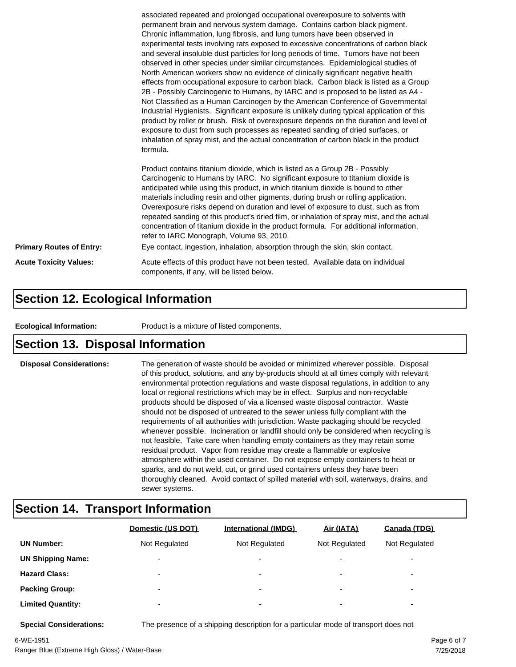|                                 | associated repeated and prolonged occupational overexposure to solvents with<br>permanent brain and nervous system damage. Contains carbon black pigment.<br>Chronic inflammation, lung fibrosis, and lung tumors have been observed in<br>experimental tests involving rats exposed to excessive concentrations of carbon black<br>and several insoluble dust particles for long periods of time. Tumors have not been<br>observed in other species under similar circumstances. Epidemiological studies of<br>North American workers show no evidence of clinically significant negative health<br>effects from occupational exposure to carbon black. Carbon black is listed as a Group<br>2B - Possibly Carcinogenic to Humans, by IARC and is proposed to be listed as A4 -<br>Not Classified as a Human Carcinogen by the American Conference of Governmental<br>Industrial Hygienists. Significant exposure is unlikely during typical application of this<br>product by roller or brush. Risk of overexposure depends on the duration and level of<br>exposure to dust from such processes as repeated sanding of dried surfaces, or<br>inhalation of spray mist, and the actual concentration of carbon black in the product<br>formula.<br>Product contains titanium dioxide, which is listed as a Group 2B - Possibly<br>Carcinogenic to Humans by IARC. No significant exposure to titanium dioxide is<br>anticipated while using this product, in which titanium dioxide is bound to other<br>materials including resin and other pigments, during brush or rolling application.<br>Overexposure risks depend on duration and level of exposure to dust, such as from |  |
|---------------------------------|------------------------------------------------------------------------------------------------------------------------------------------------------------------------------------------------------------------------------------------------------------------------------------------------------------------------------------------------------------------------------------------------------------------------------------------------------------------------------------------------------------------------------------------------------------------------------------------------------------------------------------------------------------------------------------------------------------------------------------------------------------------------------------------------------------------------------------------------------------------------------------------------------------------------------------------------------------------------------------------------------------------------------------------------------------------------------------------------------------------------------------------------------------------------------------------------------------------------------------------------------------------------------------------------------------------------------------------------------------------------------------------------------------------------------------------------------------------------------------------------------------------------------------------------------------------------------------------------------------------------------------------------------------------------------------|--|
|                                 | repeated sanding of this product's dried film, or inhalation of spray mist, and the actual<br>concentration of titanium dioxide in the product formula. For additional information,<br>refer to IARC Monograph, Volume 93, 2010.                                                                                                                                                                                                                                                                                                                                                                                                                                                                                                                                                                                                                                                                                                                                                                                                                                                                                                                                                                                                                                                                                                                                                                                                                                                                                                                                                                                                                                                   |  |
| <b>Primary Routes of Entry:</b> | Eye contact, ingestion, inhalation, absorption through the skin, skin contact.                                                                                                                                                                                                                                                                                                                                                                                                                                                                                                                                                                                                                                                                                                                                                                                                                                                                                                                                                                                                                                                                                                                                                                                                                                                                                                                                                                                                                                                                                                                                                                                                     |  |
| <b>Acute Toxicity Values:</b>   | Acute effects of this product have not been tested. Available data on individual<br>components, if any, will be listed below.                                                                                                                                                                                                                                                                                                                                                                                                                                                                                                                                                                                                                                                                                                                                                                                                                                                                                                                                                                                                                                                                                                                                                                                                                                                                                                                                                                                                                                                                                                                                                      |  |

### **Section 12. Ecological Information**

**Ecological Information:** Product is a mixture of listed components.

### **Section 13. Disposal Information**

**Disposal Considerations:** The generation of waste should be avoided or minimized wherever possible. Disposal of this product, solutions, and any by-products should at all times comply with relevant environmental protection regulations and waste disposal regulations, in addition to any local or regional restrictions which may be in effect. Surplus and non-recyclable products should be disposed of via a licensed waste disposal contractor. Waste should not be disposed of untreated to the sewer unless fully compliant with the requirements of all authorities with jurisdiction. Waste packaging should be recycled whenever possible. Incineration or landfill should only be considered when recycling is not feasible. Take care when handling empty containers as they may retain some residual product. Vapor from residue may create a flammable or explosive atmosphere within the used container. Do not expose empty containers to heat or sparks, and do not weld, cut, or grind used containers unless they have been thoroughly cleaned. Avoid contact of spilled material with soil, waterways, drains, and sewer systems.

### **Section 14. Transport Information**

|                          | Domestic (US DOT)        | <b>International (IMDG)</b> | Air (IATA)               | Canada (TDG)             |
|--------------------------|--------------------------|-----------------------------|--------------------------|--------------------------|
| <b>UN Number:</b>        | Not Regulated            | Not Regulated               | Not Regulated            | Not Regulated            |
| <b>UN Shipping Name:</b> | $\overline{\phantom{0}}$ | $\overline{\phantom{0}}$    | $\overline{\phantom{0}}$ | $\overline{\phantom{0}}$ |
| <b>Hazard Class:</b>     | $\overline{\phantom{0}}$ | $\overline{\phantom{0}}$    | $\overline{\phantom{0}}$ | $\overline{\phantom{0}}$ |
| <b>Packing Group:</b>    | $\overline{\phantom{0}}$ | ۰                           | $\overline{\phantom{0}}$ | $\overline{\phantom{0}}$ |
| <b>Limited Quantity:</b> | $\overline{\phantom{0}}$ | $\overline{\phantom{0}}$    | $\overline{\phantom{0}}$ | $\overline{\phantom{a}}$ |

**Special Considerations:** The presence of a shipping description for a particular mode of transport does not